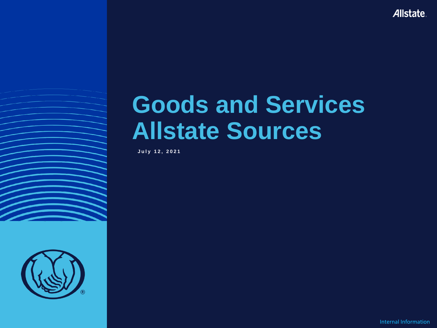Allstate.

# **Goods and Services Allstate Sources**

July 12, 2021



Internal Information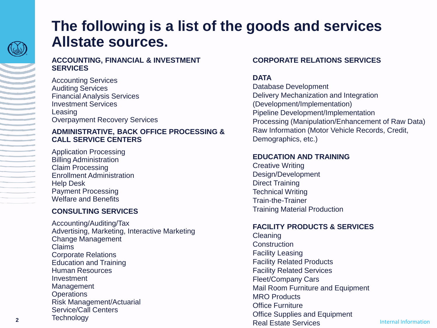

**Contract Contract** 

### **The following is a list of the goods and services Allstate sources.**

#### **ACCOUNTING, FINANCIAL & INVESTMENT SERVICES**

Accounting Services Auditing Services Financial Analysis Services Investment Services Leasing Overpayment Recovery Services

### **ADMINISTRATIVE, BACK OFFICE PROCESSING & CALL SERVICE CENTERS**

Application Processing Billing Administration Claim Processing Enrollment Administration Help Desk Payment Processing Welfare and Benefits

### **CONSULTING SERVICES**

Accounting/Auditing/Tax Advertising, Marketing, Interactive Marketing Change Management Claims Corporate Relations Education and Training Human Resources Investment Management **Operations** Risk Management/Actuarial Service/Call Centers **Technology** 

### **CORPORATE RELATIONS SERVICES**

### **DATA**

Database Development Delivery Mechanization and Integration (Development/Implementation) Pipeline Development/Implementation Processing (Manipulation/Enhancement of Raw Data) Raw Information (Motor Vehicle Records, Credit, Demographics, etc.)

### **EDUCATION AND TRAINING**

Creative Writing Design/Development Direct Training Technical Writing Train-the-Trainer Training Material Production

### **FACILITY PRODUCTS & SERVICES**

Cleaning **Construction** Facility Leasing Facility Related Products Facility Related Services Fleet/Company Cars Mail Room Furniture and Equipment MRO Products Office Furniture Office Supplies and Equipment Real Estate Services

Internal Information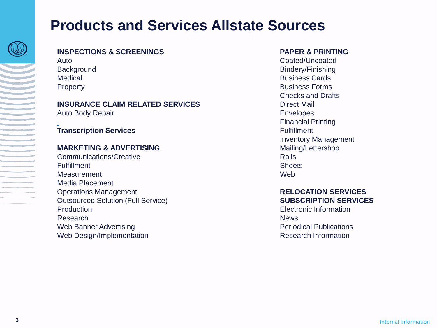### **Products and Services Allstate Sources**



### **INSPECTIONS & SCREENINGS**

Auto **Background** Medical Property

### **INSURANCE CLAIM RELATED SERVICES**

Auto Body Repair

### **Transcription Services**

### **MARKETING & ADVERTISING**

Communications/Creative **Fulfillment Measurement** Media Placement Operations Management Outsourced Solution (Full Service) **Production** Research Web Banner Advertising Web Design/Implementation

### **PAPER & PRINTING**

Coated/Uncoated Bindery/Finishing Business Cards Business Forms Checks and Drafts Direct Mail Envelopes Financial Printing Fulfillment Inventory Management Mailing/Lettershop Rolls **Sheets Web** 

#### **RELOCATION SERVICES SUBSCRIPTION SERVICES**

Electronic Information **News** Periodical Publications Research Information